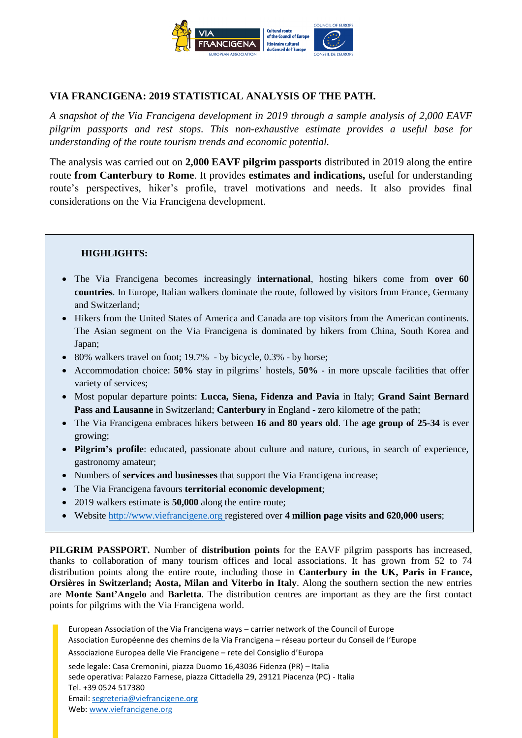

## **VIA FRANCIGENA: 2019 STATISTICAL ANALYSIS OF THE PATH.**

*A snapshot of the Via Francigena development in 2019 through a sample analysis of 2,000 EAVF pilgrim passports and rest stops. This non-exhaustive estimate provides a useful base for understanding of the route tourism trends and economic potential.* 

The analysis was carried out on **2,000 EAVF pilgrim passports** distributed in 2019 along the entire route **from Canterbury to Rome**. It provides **estimates and indications,** useful for understanding route's perspectives, hiker's profile, travel motivations and needs. It also provides final considerations on the Via Francigena development.

## **HIGHLIGHTS:**

- The Via Francigena becomes increasingly **international**, hosting hikers come from **over 60 countries**. In Europe, Italian walkers dominate the route, followed by visitors from France, Germany and Switzerland;
- Hikers from the United States of America and Canada are top visitors from the American continents. The Asian segment on the Via Francigena is dominated by hikers from China, South Korea and Japan;
- 80% walkers travel on foot; 19.7% by bicycle, 0.3% by horse;
- Accommodation choice: **50%** stay in pilgrims' hostels, **50%** in more upscale facilities that offer variety of services;
- Most popular departure points: **Lucca, Siena, Fidenza and Pavia** in Italy; **Grand Saint Bernard Pass and Lausanne** in Switzerland; **Canterbury** in England - zero kilometre of the path;
- The Via Francigena embraces hikers between **16 and 80 years old**. The **age group of 25-34** is ever growing;
- **Pilgrim's profile**: educated, passionate about culture and nature, curious, in search of experience, gastronomy amateur;
- Numbers of **services and businesses** that support the Via Francigena increase;
- The Via Francigena favours **territorial economic development**;
- 2019 walkers estimate is **50,000** along the entire route;
- Website [http://www.viefrancigene.org](http://www.viefrancigene.org/) registered over **4 million page visits and 620,000 users**;

**PILGRIM PASSPORT.** Number of **distribution points** for the EAVF pilgrim passports has increased, thanks to collaboration of many tourism offices and local associations. It has grown from 52 to 74 distribution points along the entire route, including those in **Canterbury in the UK, Paris in France, Orsières in Switzerland; Aosta, Milan and Viterbo in Italy**. Along the southern section the new entries are **Monte Sant'Angelo** and **Barletta**. The distribution centres are important as they are the first contact points for pilgrims with the Via Francigena world.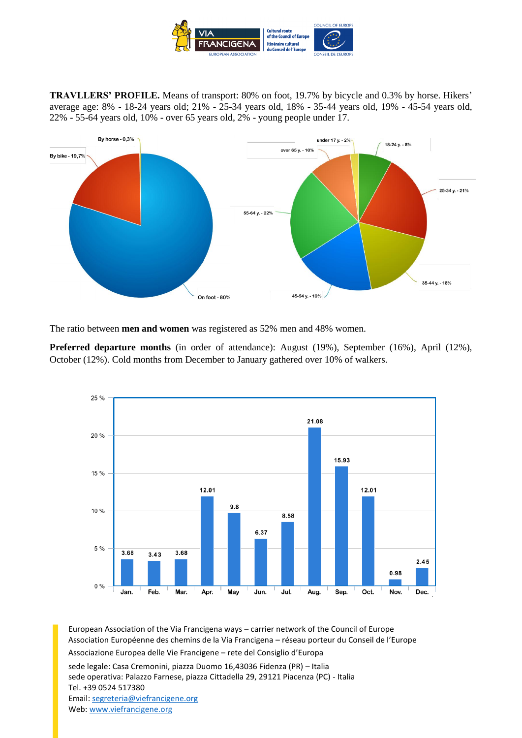

**TRAVLLERS' PROFILE.** Means of transport: 80% on foot, 19.7% by bicycle and 0.3% by horse. Hikers' average age: 8% - 18-24 years old; 21% - 25-34 years old, 18% - 35-44 years old, 19% - 45-54 years old, 22% - 55-64 years old, 10% - over 65 years old, 2% - young people under 17.



The ratio between **men and women** was registered as 52% men and 48% women.

**Preferred departure months** (in order of attendance): August (19%), September (16%), April (12%), October (12%). Cold months from December to January gathered over 10% of walkers.

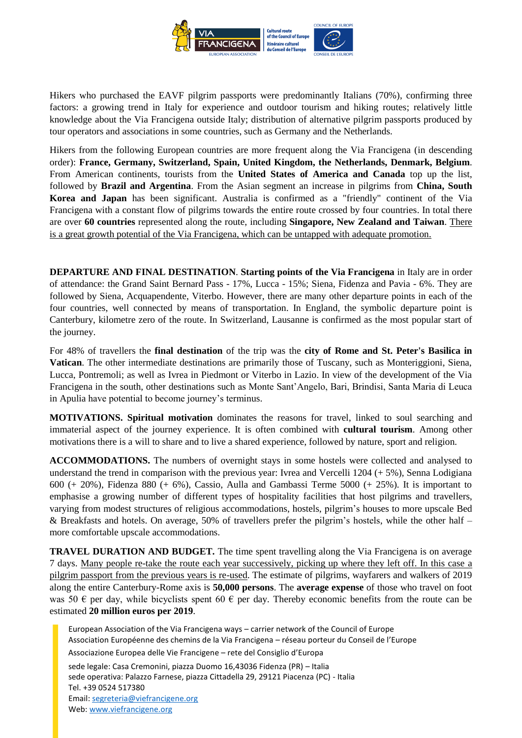

Hikers who purchased the EAVF pilgrim passports were predominantly Italians (70%), confirming three factors: a growing trend in Italy for experience and outdoor tourism and hiking routes; relatively little knowledge about the Via Francigena outside Italy; distribution of alternative pilgrim passports produced by tour operators and associations in some countries, such as Germany and the Netherlands.

Hikers from the following European countries are more frequent along the Via Francigena (in descending order): **France, Germany, Switzerland, Spain, United Kingdom, the Netherlands, Denmark, Belgium**. From American continents, tourists from the **United States of America and Canada** top up the list, followed by **Brazil and Argentina**. From the Asian segment an increase in pilgrims from **China, South Korea and Japan** has been significant. Australia is confirmed as a "friendly" continent of the Via Francigena with a constant flow of pilgrims towards the entire route crossed by four countries. In total there are over **60 countries** represented along the route, including **Singapore, New Zealand and Taiwan**. There is a great growth potential of the Via Francigena, which can be untapped with adequate promotion.

**DEPARTURE AND FINAL DESTINATION**. **Starting points of the Via Francigena** in Italy are in order of attendance: the Grand Saint Bernard Pass - 17%, Lucca - 15%; Siena, Fidenza and Pavia - 6%. They are followed by Siena, Acquapendente, Viterbo. However, there are many other departure points in each of the four countries, well connected by means of transportation. In England, the symbolic departure point is Canterbury, kilometre zero of the route. In Switzerland, Lausanne is confirmed as the most popular start of the journey.

For 48% of travellers the **final destination** of the trip was the **city of Rome and St. Peter's Basilica in Vatican**. The other intermediate destinations are primarily those of Tuscany, such as Monteriggioni, Siena, Lucca, Pontremoli; as well as Ivrea in Piedmont or Viterbo in Lazio. In view of the development of the Via Francigena in the south, other destinations such as Monte Sant'Angelo, Bari, Brindisi, Santa Maria di Leuca in Apulia have potential to become journey's terminus.

**MOTIVATIONS. Spiritual motivation** dominates the reasons for travel, linked to soul searching and immaterial aspect of the journey experience. It is often combined with **cultural tourism**. Among other motivations there is a will to share and to live a shared experience, followed by nature, sport and religion.

**ACCOMMODATIONS.** The numbers of overnight stays in some hostels were collected and analysed to understand the trend in comparison with the previous year: Ivrea and Vercelli 1204 (+ 5%), Senna Lodigiana 600 (+ 20%), Fidenza 880 (+ 6%), Cassio, Aulla and Gambassi Terme 5000 (+ 25%). It is important to emphasise a growing number of different types of hospitality facilities that host pilgrims and travellers, varying from modest structures of religious accommodations, hostels, pilgrim's houses to more upscale Bed & Breakfasts and hotels. On average, 50% of travellers prefer the pilgrim's hostels, while the other half – more comfortable upscale accommodations.

**TRAVEL DURATION AND BUDGET.** The time spent travelling along the Via Francigena is on average 7 days. Many people re-take the route each year successively, picking up where they left off. In this case a pilgrim passport from the previous years is re-used. The estimate of pilgrims, wayfarers and walkers of 2019 along the entire Canterbury-Rome axis is **50,000 persons**. The **average expense** of those who travel on foot was 50  $\epsilon$  per day, while bicyclists spent 60  $\epsilon$  per day. Thereby economic benefits from the route can be estimated **20 million euros per 2019**.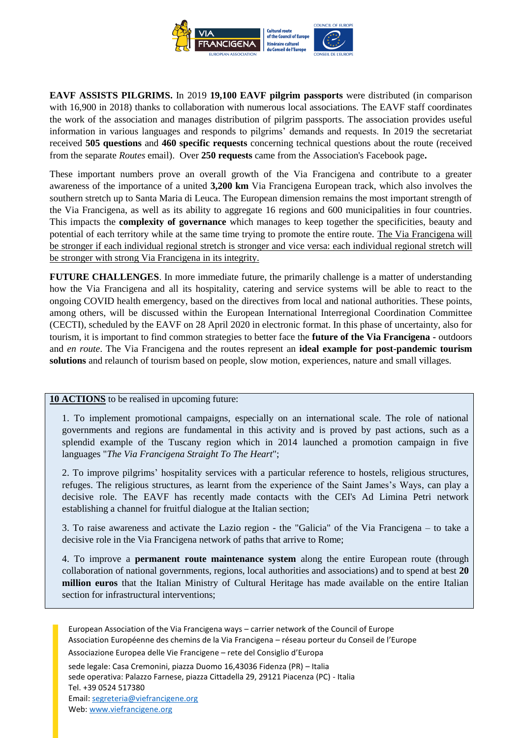

**EAVF ASSISTS PILGRIMS.** In 2019 **19,100 EAVF pilgrim passports** were distributed (in comparison with 16,900 in 2018) thanks to collaboration with numerous local associations. The EAVF staff coordinates the work of the association and manages distribution of pilgrim passports. The association provides useful information in various languages and responds to pilgrims' demands and requests. In 2019 the secretariat received **505 questions** and **460 specific requests** concerning technical questions about the route (received from the separate *Routes* email). Over **250 requests** came from the Association's Facebook page**.**

These important numbers prove an overall growth of the Via Francigena and contribute to a greater awareness of the importance of a united **3,200 km** Via Francigena European track, which also involves the southern stretch up to Santa Maria di Leuca. The European dimension remains the most important strength of the Via Francigena, as well as its ability to aggregate 16 regions and 600 municipalities in four countries. This impacts the **complexity of governance** which manages to keep together the specificities, beauty and potential of each territory while at the same time trying to promote the entire route. The Via Francigena will be stronger if each individual regional stretch is stronger and vice versa: each individual regional stretch will be stronger with strong Via Francigena in its integrity.

**FUTURE CHALLENGES**. In more immediate future, the primarily challenge is a matter of understanding how the Via Francigena and all its hospitality, catering and service systems will be able to react to the ongoing COVID health emergency, based on the directives from local and national authorities. These points, among others, will be discussed within the European International Interregional Coordination Committee (CECTI), scheduled by the EAVF on 28 April 2020 in electronic format. In this phase of uncertainty, also for tourism, it is important to find common strategies to better face the **future of the Via Francigena -** outdoors and *en route*. The Via Francigena and the routes represent an **ideal example for post-pandemic tourism solutions** and relaunch of tourism based on people, slow motion, experiences, nature and small villages.

## **10 ACTIONS** to be realised in upcoming future:

1. To implement promotional campaigns, especially on an international scale. The role of national governments and regions are fundamental in this activity and is proved by past actions, such as a splendid example of the Tuscany region which in 2014 launched a promotion campaign in five languages "*The Via Francigena Straight To The Heart*";

2. To improve pilgrims' hospitality services with a particular reference to hostels, religious structures, refuges. The religious structures, as learnt from the experience of the Saint James's Ways, can play a decisive role. The EAVF has recently made contacts with the CEI's Ad Limina Petri network establishing a channel for fruitful dialogue at the Italian section;

3. To raise awareness and activate the Lazio region - the "Galicia" of the Via Francigena – to take a decisive role in the Via Francigena network of paths that arrive to Rome;

4. To improve a **permanent route maintenance system** along the entire European route (through collaboration of national governments, regions, local authorities and associations) and to spend at best **20 million euros** that the Italian Ministry of Cultural Heritage has made available on the entire Italian section for infrastructural interventions;